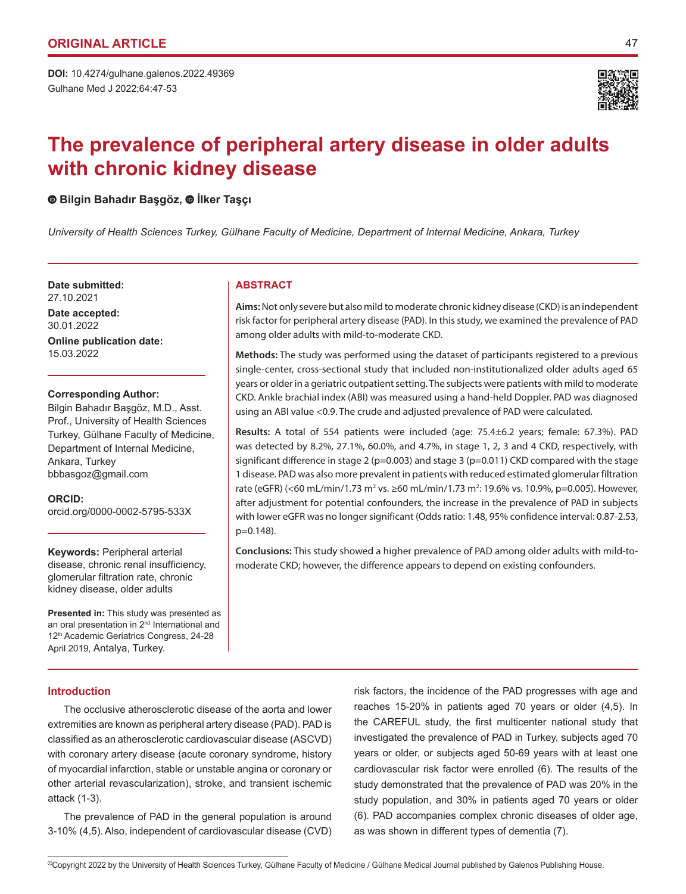

# **The prevalence of peripheral artery disease in older adults with chronic kidney disease**

# **Bilgin Bahadır Başgöz,İlker Taşçı**

*University of Health Sciences Turkey, Gülhane Faculty of Medicine, Department of Internal Medicine, Ankara, Turkey*

**Date submitted: ABSTRACT** 27.10.2021

**Date accepted:** 30.01.2022 **Online publication date:**

15.03.2022

#### **Corresponding Author:**

Bilgin Bahadır Başgöz, M.D., Asst. Prof., University of Health Sciences Turkey, Gülhane Faculty of Medicine, Department of Internal Medicine, Ankara, Turkey bbbasgoz@gmail.com

**ORCID:**  orcid.org/0000-0002-5795-533X

# **Keywords:** Peripheral arterial disease, chronic renal insufficiency, glomerular filtration rate, chronic kidney disease, older adults

**Presented in:** This study was presented as an oral presentation in 2nd International and 12th Academic Geriatrics Congress, 24-28 April 2019, Antalya, Turkey.

**Aims:** Not only severe but also mild to moderate chronic kidney disease (CKD) is an independent risk factor for peripheral artery disease (PAD). In this study, we examined the prevalence of PAD among older adults with mild-to-moderate CKD.

**Methods:** The study was performed using the dataset of participants registered to a previous single-center, cross-sectional study that included non-institutionalized older adults aged 65 years or older in a geriatric outpatient setting. The subjects were patients with mild to moderate CKD. Ankle brachial index (ABI) was measured using a hand-held Doppler. PAD was diagnosed using an ABI value <0.9. The crude and adjusted prevalence of PAD were calculated.

**Results:** A total of 554 patients were included (age: 75.4±6.2 years; female: 67.3%). PAD was detected by 8.2%, 27.1%, 60.0%, and 4.7%, in stage 1, 2, 3 and 4 CKD, respectively, with significant difference in stage 2 ( $p=0.003$ ) and stage 3 ( $p=0.011$ ) CKD compared with the stage 1 disease. PAD was also more prevalent in patients with reduced estimated glomerular filtration rate (eGFR) (<60 mL/min/1.73 m<sup>2</sup> vs. ≥60 mL/min/1.73 m<sup>2</sup>: 19.6% vs. 10.9%, p=0.005). However, after adjustment for potential confounders, the increase in the prevalence of PAD in subjects with lower eGFR was no longer significant (Odds ratio: 1.48, 95% confidence interval: 0.87-2.53, p=0.148).

**Conclusions:** This study showed a higher prevalence of PAD among older adults with mild-tomoderate CKD; however, the difference appears to depend on existing confounders.

# **Introduction**

The occlusive atherosclerotic disease of the aorta and lower extremities are known as peripheral artery disease (PAD). PAD is classified as an atherosclerotic cardiovascular disease (ASCVD) with coronary artery disease (acute coronary syndrome, history of myocardial infarction, stable or unstable angina or coronary or other arterial revascularization), stroke, and transient ischemic attack (1-3).

The prevalence of PAD in the general population is around 3-10% (4,5). Also, independent of cardiovascular disease (CVD) risk factors, the incidence of the PAD progresses with age and reaches 15-20% in patients aged 70 years or older (4,5). In the CAREFUL study, the first multicenter national study that investigated the prevalence of PAD in Turkey, subjects aged 70 years or older, or subjects aged 50-69 years with at least one cardiovascular risk factor were enrolled (6). The results of the study demonstrated that the prevalence of PAD was 20% in the study population, and 30% in patients aged 70 years or older (6). PAD accompanies complex chronic diseases of older age, as was shown in different types of dementia (7).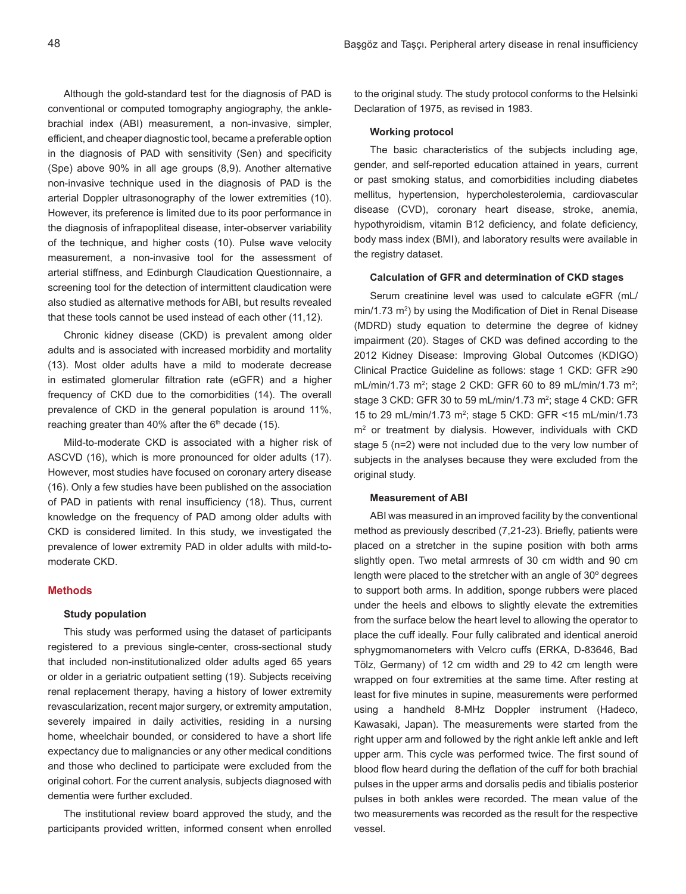Although the gold-standard test for the diagnosis of PAD is conventional or computed tomography angiography, the anklebrachial index (ABI) measurement, a non-invasive, simpler, efficient, and cheaper diagnostic tool, became a preferable option in the diagnosis of PAD with sensitivity (Sen) and specificity (Spe) above 90% in all age groups (8,9). Another alternative non-invasive technique used in the diagnosis of PAD is the arterial Doppler ultrasonography of the lower extremities (10). However, its preference is limited due to its poor performance in the diagnosis of infrapopliteal disease, inter-observer variability of the technique, and higher costs (10). Pulse wave velocity measurement, a non-invasive tool for the assessment of arterial stiffness, and Edinburgh Claudication Questionnaire, a screening tool for the detection of intermittent claudication were also studied as alternative methods for ABI, but results revealed that these tools cannot be used instead of each other (11,12).

Chronic kidney disease (CKD) is prevalent among older adults and is associated with increased morbidity and mortality (13). Most older adults have a mild to moderate decrease in estimated glomerular filtration rate (eGFR) and a higher frequency of CKD due to the comorbidities (14). The overall prevalence of CKD in the general population is around 11%, reaching greater than 40% after the  $6<sup>th</sup>$  decade (15).

Mild-to-moderate CKD is associated with a higher risk of ASCVD (16), which is more pronounced for older adults (17). However, most studies have focused on coronary artery disease (16). Only a few studies have been published on the association of PAD in patients with renal insufficiency (18). Thus, current knowledge on the frequency of PAD among older adults with CKD is considered limited. In this study, we investigated the prevalence of lower extremity PAD in older adults with mild-tomoderate CKD.

# **Methods**

#### **Study population**

This study was performed using the dataset of participants registered to a previous single-center, cross-sectional study that included non-institutionalized older adults aged 65 years or older in a geriatric outpatient setting (19). Subjects receiving renal replacement therapy, having a history of lower extremity revascularization, recent major surgery, or extremity amputation, severely impaired in daily activities, residing in a nursing home, wheelchair bounded, or considered to have a short life expectancy due to malignancies or any other medical conditions and those who declined to participate were excluded from the original cohort. For the current analysis, subjects diagnosed with dementia were further excluded.

The institutional review board approved the study, and the participants provided written, informed consent when enrolled to the original study. The study protocol conforms to the Helsinki Declaration of 1975, as revised in 1983.

# **Working protocol**

The basic characteristics of the subjects including age, gender, and self-reported education attained in years, current or past smoking status, and comorbidities including diabetes mellitus, hypertension, hypercholesterolemia, cardiovascular disease (CVD), coronary heart disease, stroke, anemia, hypothyroidism, vitamin B12 deficiency, and folate deficiency, body mass index (BMI), and laboratory results were available in the registry dataset.

#### **Calculation of GFR and determination of CKD stages**

Serum creatinine level was used to calculate eGFR (mL/  $min/1.73$   $m^2$ ) by using the Modification of Diet in Renal Disease (MDRD) study equation to determine the degree of kidney impairment (20). Stages of CKD was defined according to the 2012 Kidney Disease: Improving Global Outcomes (KDIGO) Clinical Practice Guideline as follows: stage 1 CKD: GFR ≥90 mL/min/1.73 m<sup>2</sup>; stage 2 CKD: GFR 60 to 89 mL/min/1.73 m<sup>2</sup>; stage 3 CKD: GFR 30 to 59 mL/min/1.73 m<sup>2</sup>; stage 4 CKD: GFR 15 to 29 mL/min/1.73 m<sup>2</sup>; stage 5 CKD: GFR <15 mL/min/1.73 m2 or treatment by dialysis. However, individuals with CKD stage 5 (n=2) were not included due to the very low number of subjects in the analyses because they were excluded from the original study.

#### **Measurement of ABI**

ABI was measured in an improved facility by the conventional method as previously described (7,21-23). Briefly, patients were placed on a stretcher in the supine position with both arms slightly open. Two metal armrests of 30 cm width and 90 cm length were placed to the stretcher with an angle of 30º degrees to support both arms. In addition, sponge rubbers were placed under the heels and elbows to slightly elevate the extremities from the surface below the heart level to allowing the operator to place the cuff ideally. Four fully calibrated and identical aneroid sphygmomanometers with Velcro cuffs (ERKA, D-83646, Bad Tölz, Germany) of 12 cm width and 29 to 42 cm length were wrapped on four extremities at the same time. After resting at least for five minutes in supine, measurements were performed using a handheld 8-MHz Doppler instrument (Hadeco, Kawasaki, Japan). The measurements were started from the right upper arm and followed by the right ankle left ankle and left upper arm. This cycle was performed twice. The first sound of blood flow heard during the deflation of the cuff for both brachial pulses in the upper arms and dorsalis pedis and tibialis posterior pulses in both ankles were recorded. The mean value of the two measurements was recorded as the result for the respective vessel.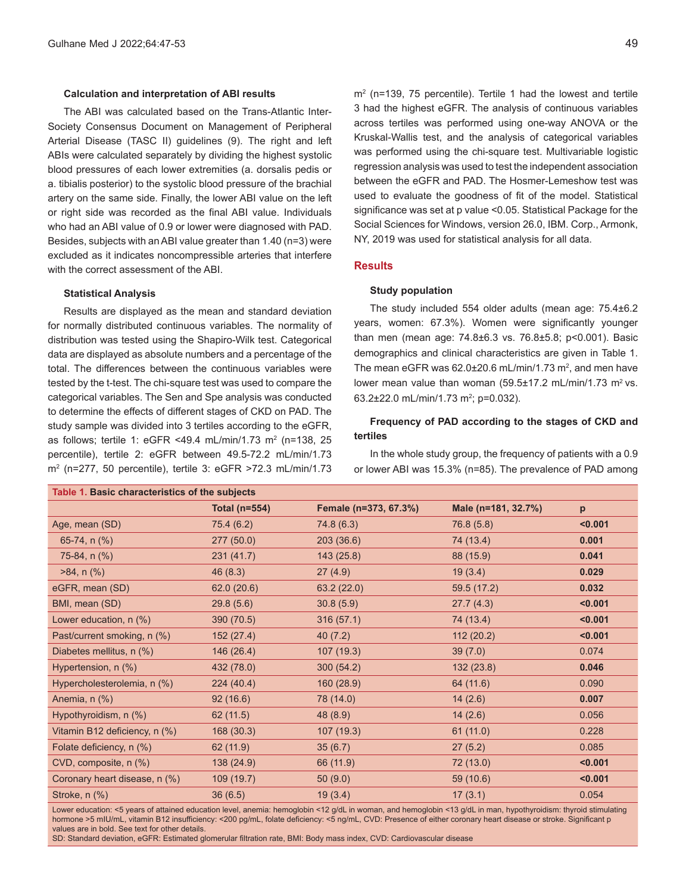#### **Calculation and interpretation of ABI results**

The ABI was calculated based on the Trans-Atlantic Inter-Society Consensus Document on Management of Peripheral Arterial Disease (TASC II) guidelines (9). The right and left ABIs were calculated separately by dividing the highest systolic blood pressures of each lower extremities (a. dorsalis pedis or a. tibialis posterior) to the systolic blood pressure of the brachial artery on the same side. Finally, the lower ABI value on the left or right side was recorded as the final ABI value. Individuals who had an ABI value of 0.9 or lower were diagnosed with PAD. Besides, subjects with an ABI value greater than 1.40 (n=3) were excluded as it indicates noncompressible arteries that interfere with the correct assessment of the ABI.

#### **Statistical Analysis**

Results are displayed as the mean and standard deviation for normally distributed continuous variables. The normality of distribution was tested using the Shapiro-Wilk test. Categorical data are displayed as absolute numbers and a percentage of the total. The differences between the continuous variables were tested by the t-test. The chi-square test was used to compare the categorical variables. The Sen and Spe analysis was conducted to determine the effects of different stages of CKD on PAD. The study sample was divided into 3 tertiles according to the eGFR, as follows; tertile 1: eGFR <49.4 mL/min/1.73 m<sup>2</sup> (n=138, 25 percentile), tertile 2: eGFR between 49.5-72.2 mL/min/1.73 m2 (n=277, 50 percentile), tertile 3: eGFR >72.3 mL/min/1.73

m2 (n=139, 75 percentile). Tertile 1 had the lowest and tertile 3 had the highest eGFR. The analysis of continuous variables across tertiles was performed using one-way ANOVA or the Kruskal-Wallis test, and the analysis of categorical variables was performed using the chi-square test. Multivariable logistic regression analysis was used to test the independent association between the eGFR and PAD. The Hosmer-Lemeshow test was used to evaluate the goodness of fit of the model. Statistical significance was set at p value <0.05. Statistical Package for the Social Sciences for Windows, version 26.0, IBM. Corp., Armonk, NY, 2019 was used for statistical analysis for all data.

# **Results**

### **Study population**

The study included 554 older adults (mean age: 75.4±6.2 years, women: 67.3%). Women were significantly younger than men (mean age: 74.8±6.3 vs. 76.8±5.8; p<0.001). Basic demographics and clinical characteristics are given in Table 1. The mean eGFR was  $62.0 \pm 20.6$  mL/min/1.73 m<sup>2</sup>, and men have lower mean value than woman  $(59.5 \pm 17.2 \text{ mL/min}/1.73 \text{ m}^2 \text{ vs.})$ 63.2±22.0 mL/min/1.73 m<sup>2</sup>; p=0.032).

# **Frequency of PAD according to the stages of CKD and tertiles**

In the whole study group, the frequency of patients with a 0.9 or lower ABI was 15.3% (n=85). The prevalence of PAD among

| Table 1. Basic characteristics of the subjects |               |                       |                     |         |  |  |
|------------------------------------------------|---------------|-----------------------|---------------------|---------|--|--|
|                                                | Total (n=554) | Female (n=373, 67.3%) | Male (n=181, 32.7%) | p       |  |  |
| Age, mean (SD)                                 | 75.4 (6.2)    | 74.8 (6.3)            | 76.8 (5.8)          | < 0.001 |  |  |
| 65-74, n (%)                                   | 277(50.0)     | 203(36.6)             | 74 (13.4)           | 0.001   |  |  |
| 75-84, $n$ (%)                                 | 231(41.7)     | 143(25.8)             | 88 (15.9)           | 0.041   |  |  |
| $>84$ , n $(\%)$                               | 46(8.3)       | 27(4.9)               | 19(3.4)             | 0.029   |  |  |
| eGFR, mean (SD)                                | 62.0(20.6)    | 63.2(22.0)            | 59.5 (17.2)         | 0.032   |  |  |
| BMI, mean (SD)                                 | 29.8(5.6)     | 30.8(5.9)             | 27.7(4.3)           | < 0.001 |  |  |
| Lower education, n (%)                         | 390 (70.5)    | 316(57.1)             | 74 (13.4)           | < 0.001 |  |  |
| Past/current smoking, n (%)                    | 152(27.4)     | 40(7.2)               | 112(20.2)           | < 0.001 |  |  |
| Diabetes mellitus, n (%)                       | 146 (26.4)    | 107(19.3)             | 39(7.0)             | 0.074   |  |  |
| Hypertension, n (%)                            | 432 (78.0)    | 300(54.2)             | 132(23.8)           | 0.046   |  |  |
| Hypercholesterolemia, n (%)                    | 224(40.4)     | 160(28.9)             | 64 (11.6)           | 0.090   |  |  |
| Anemia, n (%)                                  | 92(16.6)      | 78 (14.0)             | 14(2.6)             | 0.007   |  |  |
| Hypothyroidism, n (%)                          | 62 (11.5)     | 48 (8.9)              | 14(2.6)             | 0.056   |  |  |
| Vitamin B12 deficiency, n (%)                  | 168(30.3)     | 107(19.3)             | 61(11.0)            | 0.228   |  |  |
| Folate deficiency, n (%)                       | 62 (11.9)     | 35(6.7)               | 27(5.2)             | 0.085   |  |  |
| CVD, composite, n (%)                          | 138 (24.9)    | 66 (11.9)             | 72 (13.0)           | < 0.001 |  |  |
| Coronary heart disease, n (%)                  | 109 (19.7)    | 50(9.0)               | 59 (10.6)           | < 0.001 |  |  |
| Stroke, n (%)                                  | 36(6.5)       | 19(3.4)               | 17(3.1)             | 0.054   |  |  |

Lower education: <5 years of attained education level, anemia: hemoglobin <12 g/dL in woman, and hemoglobin <13 g/dL in man, hypothyroidism: thyroid stimulating hormone >5 mIU/mL, vitamin B12 insufficiency: <200 pg/mL, folate deficiency: <5 ng/mL, CVD: Presence of either coronary heart disease or stroke. Significant p values are in bold. See text for other details.

SD: Standard deviation, eGFR: Estimated glomerular filtration rate, BMI: Body mass index, CVD: Cardiovascular disease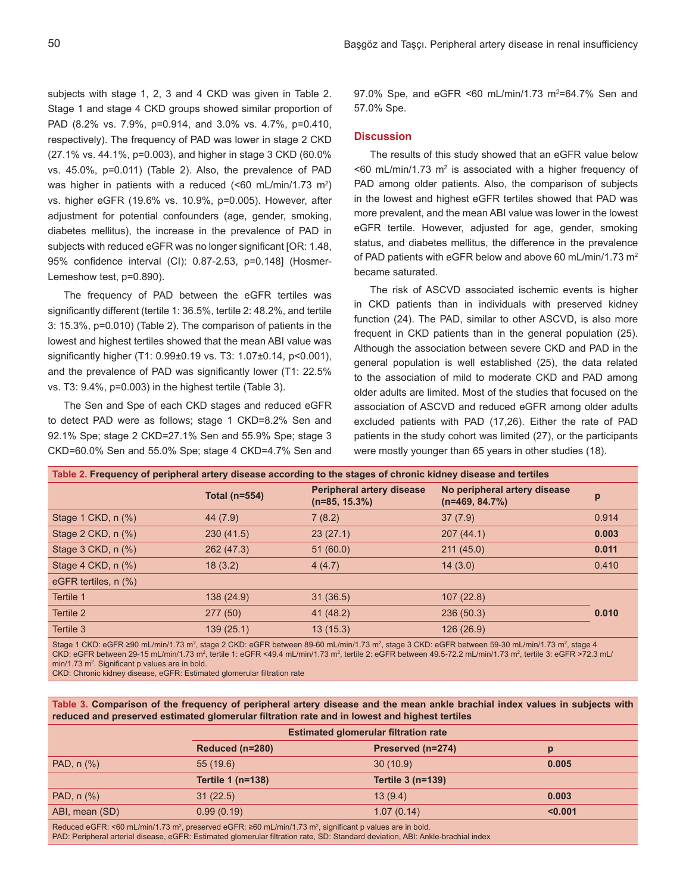subjects with stage 1, 2, 3 and 4 CKD was given in Table 2. Stage 1 and stage 4 CKD groups showed similar proportion of PAD (8.2% vs. 7.9%, p=0.914, and 3.0% vs. 4.7%, p=0.410, respectively). The frequency of PAD was lower in stage 2 CKD (27.1% vs. 44.1%, p=0.003), and higher in stage 3 CKD (60.0% vs. 45.0%, p=0.011) (Table 2). Also, the prevalence of PAD was higher in patients with a reduced (<60 mL/min/1.73 m<sup>2</sup>) vs. higher eGFR (19.6% vs. 10.9%, p=0.005). However, after adjustment for potential confounders (age, gender, smoking, diabetes mellitus), the increase in the prevalence of PAD in subjects with reduced eGFR was no longer significant [OR: 1.48, 95% confidence interval (CI): 0.87-2.53, p=0.148] (Hosmer-Lemeshow test, p=0.890).

The frequency of PAD between the eGFR tertiles was significantly different (tertile 1: 36.5%, tertile 2: 48.2%, and tertile 3: 15.3%, p=0.010) (Table 2). The comparison of patients in the lowest and highest tertiles showed that the mean ABI value was significantly higher (T1: 0.99±0.19 vs. T3: 1.07±0.14, p<0.001), and the prevalence of PAD was significantly lower (T1: 22.5% vs. T3: 9.4%, p=0.003) in the highest tertile (Table 3).

The Sen and Spe of each CKD stages and reduced eGFR to detect PAD were as follows; stage 1 CKD=8.2% Sen and 92.1% Spe; stage 2 CKD=27.1% Sen and 55.9% Spe; stage 3 CKD=60.0% Sen and 55.0% Spe; stage 4 CKD=4.7% Sen and

97.0% Spe, and  $eGFR < 60$  mL/min/1.73 m<sup>2</sup>=64.7% Sen and 57.0% Spe.

#### **Discussion**

The results of this study showed that an eGFR value below  $\leq$  60 mL/min/1.73 m<sup>2</sup> is associated with a higher frequency of PAD among older patients. Also, the comparison of subjects in the lowest and highest eGFR tertiles showed that PAD was more prevalent, and the mean ABI value was lower in the lowest eGFR tertile. However, adjusted for age, gender, smoking status, and diabetes mellitus, the difference in the prevalence of PAD patients with eGFR below and above 60 mL/min/1.73  $m<sup>2</sup>$ became saturated.

The risk of ASCVD associated ischemic events is higher in CKD patients than in individuals with preserved kidney function (24). The PAD, similar to other ASCVD, is also more frequent in CKD patients than in the general population (25). Although the association between severe CKD and PAD in the general population is well established (25), the data related to the association of mild to moderate CKD and PAD among older adults are limited. Most of the studies that focused on the association of ASCVD and reduced eGFR among older adults excluded patients with PAD (17,26). Either the rate of PAD patients in the study cohort was limited (27), or the participants were mostly younger than 65 years in other studies (18).

| Table 2. Frequency of peripheral artery disease according to the stages of chronic kidney disease and tertiles |               |                                                      |                                                  |       |  |  |  |
|----------------------------------------------------------------------------------------------------------------|---------------|------------------------------------------------------|--------------------------------------------------|-------|--|--|--|
|                                                                                                                | Total (n=554) | <b>Peripheral artery disease</b><br>$(n=85, 15.3\%)$ | No peripheral artery disease<br>$(n=469, 84.7%)$ | p     |  |  |  |
| Stage 1 CKD, $n$ $%$                                                                                           | 44 (7.9)      | 7(8.2)                                               | 37(7.9)                                          | 0.914 |  |  |  |
| Stage 2 CKD, $n$ $%$                                                                                           | 230(41.5)     | 23(27.1)                                             | 207(44.1)                                        | 0.003 |  |  |  |
| Stage $3$ CKD, $n$ $%$ )                                                                                       | 262 (47.3)    | 51(60.0)                                             | 211(45.0)                                        | 0.011 |  |  |  |
| Stage 4 CKD, $n$ $%$                                                                                           | 18(3.2)       | 4(4.7)                                               | 14(3.0)                                          | 0.410 |  |  |  |
| eGFR tertiles, n (%)                                                                                           |               |                                                      |                                                  |       |  |  |  |
| Tertile 1                                                                                                      | 138 (24.9)    | 31(36.5)                                             | 107(22.8)                                        |       |  |  |  |
| Tertile 2                                                                                                      | 277 (50)      | 41(48.2)                                             | 236(50.3)                                        | 0.010 |  |  |  |
| Tertile 3                                                                                                      | 139(25.1)     | 13(15.3)                                             | 126(26.9)                                        |       |  |  |  |
|                                                                                                                |               |                                                      |                                                  |       |  |  |  |

Stage 1 CKD: eGFR ≥90 mL/min/1.73 m<sup>2</sup>, stage 2 CKD: eGFR between 89-60 mL/min/1.73 m<sup>2</sup>, stage 3 CKD: eGFR between 59-30 mL/min/1.73 m<sup>2</sup>, stage 4 CKD: eGFR between 29-15 mL/min/1.73 m², tertile 1: eGFR <49.4 mL/min/1.73 m², tertile 2: eGFR between 49.5-72.2 mL/min/1.73 m², tertile 3: eGFR >72.3 mL/ min/1.73 m<sup>2</sup>. Significant p values are in bold.

CKD: Chronic kidney disease, eGFR: Estimated glomerular filtration rate

**Table 3. Comparison of the frequency of peripheral artery disease and the mean ankle brachial index values in subjects with reduced and preserved estimated glomerular filtration rate and in lowest and highest tertiles**

|                                                                                                                               | <b>Estimated glomerular filtration rate</b> |                   |         |  |  |
|-------------------------------------------------------------------------------------------------------------------------------|---------------------------------------------|-------------------|---------|--|--|
|                                                                                                                               | Reduced (n=280)                             | Preserved (n=274) | p       |  |  |
| PAD, $n$ $%$                                                                                                                  | 55(19.6)                                    | 30(10.9)          | 0.005   |  |  |
|                                                                                                                               | <b>Tertile 1 (n=138)</b>                    | Tertile 3 (n=139) |         |  |  |
| PAD, $n$ $%$                                                                                                                  | 31(22.5)                                    | 13(9.4)           | 0.003   |  |  |
| ABI, mean (SD)                                                                                                                | 0.99(0.19)                                  | 1.07(0.14)        | < 0.001 |  |  |
| Beduced eCER: <60 ml /min/1 73 m <sup>2</sup> presented eCER: >60 ml /min/1 73 m <sup>2</sup> significant puslues are in hold |                                             |                   |         |  |  |

Reduced eGFR: <60 mL/min/1.73 m<sup>2</sup> , preserved eGFR: ≥60 mL/min/1.73 m<sup>2</sup> , significant p values are in bold. PAD: Peripheral arterial disease, eGFR: Estimated glomerular filtration rate, SD: Standard deviation, ABI: Ankle-brachial index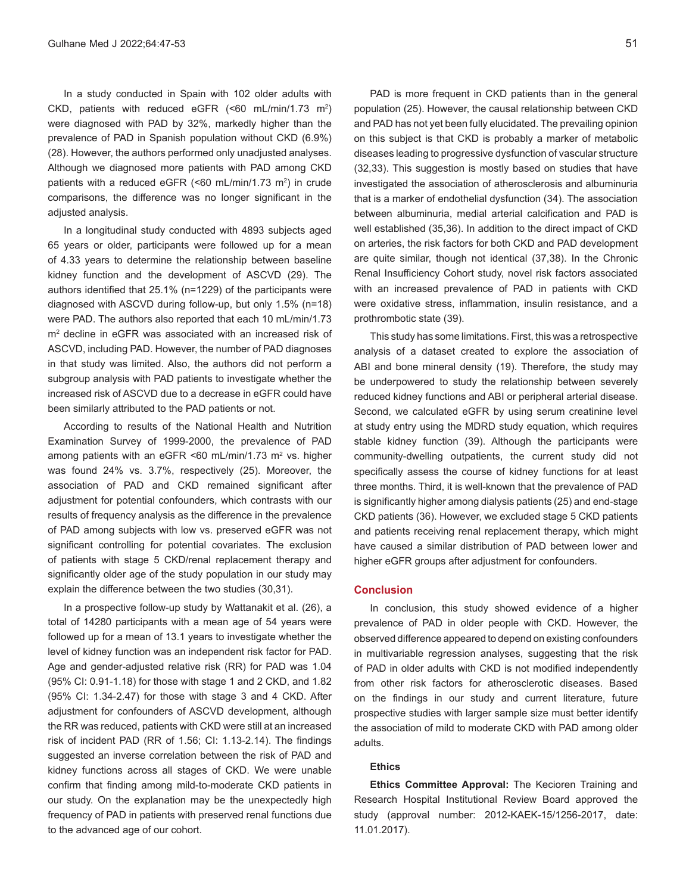In a study conducted in Spain with 102 older adults with CKD, patients with reduced eGFR  $(\leq 60 \text{ mL/min}/1.73 \text{ m}^2)$ were diagnosed with PAD by 32%, markedly higher than the prevalence of PAD in Spanish population without CKD (6.9%) (28). However, the authors performed only unadjusted analyses. Although we diagnosed more patients with PAD among CKD patients with a reduced eGFR (<60 mL/min/1.73 m<sup>2</sup>) in crude comparisons, the difference was no longer significant in the adjusted analysis.

In a longitudinal study conducted with 4893 subjects aged 65 years or older, participants were followed up for a mean of 4.33 years to determine the relationship between baseline kidney function and the development of ASCVD (29). The authors identified that 25.1% (n=1229) of the participants were diagnosed with ASCVD during follow-up, but only 1.5% (n=18) were PAD. The authors also reported that each 10 mL/min/1.73 m2 decline in eGFR was associated with an increased risk of ASCVD, including PAD. However, the number of PAD diagnoses in that study was limited. Also, the authors did not perform a subgroup analysis with PAD patients to investigate whether the increased risk of ASCVD due to a decrease in eGFR could have been similarly attributed to the PAD patients or not.

According to results of the National Health and Nutrition Examination Survey of 1999-2000, the prevalence of PAD among patients with an eGFR <60 mL/min/1.73 m<sup>2</sup> vs. higher was found 24% vs. 3.7%, respectively (25). Moreover, the association of PAD and CKD remained significant after adjustment for potential confounders, which contrasts with our results of frequency analysis as the difference in the prevalence of PAD among subjects with low vs. preserved eGFR was not significant controlling for potential covariates. The exclusion of patients with stage 5 CKD/renal replacement therapy and significantly older age of the study population in our study may explain the difference between the two studies (30,31).

In a prospective follow-up study by Wattanakit et al. (26), a total of 14280 participants with a mean age of 54 years were followed up for a mean of 13.1 years to investigate whether the level of kidney function was an independent risk factor for PAD. Age and gender-adjusted relative risk (RR) for PAD was 1.04 (95% CI: 0.91-1.18) for those with stage 1 and 2 CKD, and 1.82 (95% CI: 1.34-2.47) for those with stage 3 and 4 CKD. After adjustment for confounders of ASCVD development, although the RR was reduced, patients with CKD were still at an increased risk of incident PAD (RR of 1.56; CI: 1.13-2.14). The findings suggested an inverse correlation between the risk of PAD and kidney functions across all stages of CKD. We were unable confirm that finding among mild-to-moderate CKD patients in our study. On the explanation may be the unexpectedly high frequency of PAD in patients with preserved renal functions due to the advanced age of our cohort.

PAD is more frequent in CKD patients than in the general population (25). However, the causal relationship between CKD and PAD has not yet been fully elucidated. The prevailing opinion on this subject is that CKD is probably a marker of metabolic diseases leading to progressive dysfunction of vascular structure (32,33). This suggestion is mostly based on studies that have investigated the association of atherosclerosis and albuminuria that is a marker of endothelial dysfunction (34). The association between albuminuria, medial arterial calcification and PAD is well established (35,36). In addition to the direct impact of CKD on arteries, the risk factors for both CKD and PAD development are quite similar, though not identical (37,38). In the Chronic Renal Insufficiency Cohort study, novel risk factors associated with an increased prevalence of PAD in patients with CKD were oxidative stress, inflammation, insulin resistance, and a prothrombotic state (39).

This study has some limitations. First, this was a retrospective analysis of a dataset created to explore the association of ABI and bone mineral density (19). Therefore, the study may be underpowered to study the relationship between severely reduced kidney functions and ABI or peripheral arterial disease. Second, we calculated eGFR by using serum creatinine level at study entry using the MDRD study equation, which requires stable kidney function (39). Although the participants were community-dwelling outpatients, the current study did not specifically assess the course of kidney functions for at least three months. Third, it is well-known that the prevalence of PAD is significantly higher among dialysis patients (25) and end-stage CKD patients (36). However, we excluded stage 5 CKD patients and patients receiving renal replacement therapy, which might have caused a similar distribution of PAD between lower and higher eGFR groups after adjustment for confounders.

#### **Conclusion**

In conclusion, this study showed evidence of a higher prevalence of PAD in older people with CKD. However, the observed difference appeared to depend on existing confounders in multivariable regression analyses, suggesting that the risk of PAD in older adults with CKD is not modified independently from other risk factors for atherosclerotic diseases. Based on the findings in our study and current literature, future prospective studies with larger sample size must better identify the association of mild to moderate CKD with PAD among older adults.

# **Ethics**

**Ethics Committee Approval:** The Kecioren Training and Research Hospital Institutional Review Board approved the study (approval number: 2012-KAEK-15/1256-2017, date: 11.01.2017).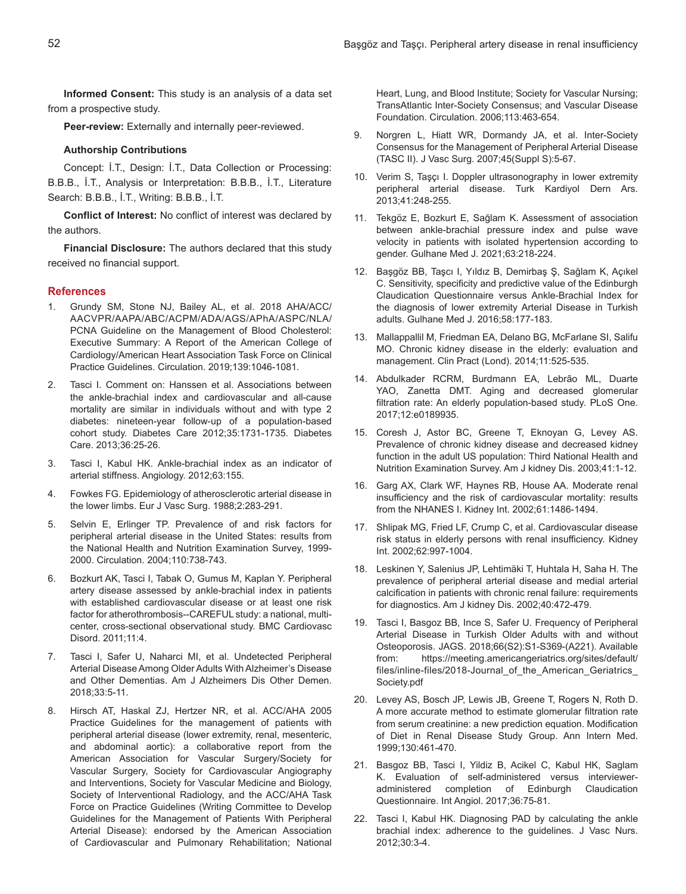**Informed Consent:** This study is an analysis of a data set from a prospective study.

**Peer-review:** Externally and internally peer-reviewed.

#### **Authorship Contributions**

Concept: İ.T., Design: İ.T., Data Collection or Processing: B.B.B., İ.T., Analysis or Interpretation: B.B.B., İ.T., Literature Search: B.B.B., İ.T., Writing: B.B.B., İ.T.

**Conflict of Interest:** No conflict of interest was declared by the authors.

**Financial Disclosure:** The authors declared that this study received no financial support.

#### **References**

- 1. Grundy SM, Stone NJ, Bailey AL, et al. 2018 AHA/ACC/ AACVPR/AAPA/ABC/ACPM/ADA/AGS/APhA/ASPC/NLA/ PCNA Guideline on the Management of Blood Cholesterol: Executive Summary: A Report of the American College of Cardiology/American Heart Association Task Force on Clinical Practice Guidelines. Circulation. 2019;139:1046-1081.
- 2. Tasci I. Comment on: Hanssen et al. Associations between the ankle-brachial index and cardiovascular and all-cause mortality are similar in individuals without and with type 2 diabetes: nineteen-year follow-up of a population-based cohort study. Diabetes Care 2012;35:1731-1735. Diabetes Care. 2013;36:25-26.
- 3. Tasci I, Kabul HK. Ankle-brachial index as an indicator of arterial stiffness. Angiology. 2012;63:155.
- 4. Fowkes FG. Epidemiology of atherosclerotic arterial disease in the lower limbs. Eur J Vasc Surg. 1988;2:283-291.
- 5. Selvin E, Erlinger TP. Prevalence of and risk factors for peripheral arterial disease in the United States: results from the National Health and Nutrition Examination Survey, 1999- 2000. Circulation. 2004;110:738-743.
- 6. Bozkurt AK, Tasci I, Tabak O, Gumus M, Kaplan Y. Peripheral artery disease assessed by ankle-brachial index in patients with established cardiovascular disease or at least one risk factor for atherothrombosis--CAREFUL study: a national, multicenter, cross-sectional observational study. BMC Cardiovasc Disord. 2011;11:4.
- 7. Tasci I, Safer U, Naharci MI, et al. Undetected Peripheral Arterial Disease Among Older Adults With Alzheimer's Disease and Other Dementias. Am J Alzheimers Dis Other Demen. 2018;33:5-11.
- 8. Hirsch AT, Haskal ZJ, Hertzer NR, et al. ACC/AHA 2005 Practice Guidelines for the management of patients with peripheral arterial disease (lower extremity, renal, mesenteric, and abdominal aortic): a collaborative report from the American Association for Vascular Surgery/Society for Vascular Surgery, Society for Cardiovascular Angiography and Interventions, Society for Vascular Medicine and Biology, Society of Interventional Radiology, and the ACC/AHA Task Force on Practice Guidelines (Writing Committee to Develop Guidelines for the Management of Patients With Peripheral Arterial Disease): endorsed by the American Association of Cardiovascular and Pulmonary Rehabilitation; National

Heart, Lung, and Blood Institute; Society for Vascular Nursing; TransAtlantic Inter-Society Consensus; and Vascular Disease Foundation. Circulation. 2006;113:463-654.

- 9. Norgren L, Hiatt WR, Dormandy JA, et al. Inter-Society Consensus for the Management of Peripheral Arterial Disease (TASC II). J Vasc Surg. 2007;45(Suppl S):5-67.
- 10. Verim S, Taşçı I. Doppler ultrasonography in lower extremity peripheral arterial disease. Turk Kardiyol Dern Ars. 2013;41:248-255.
- 11. Tekgöz E, Bozkurt E, Sağlam K. Assessment of association between ankle-brachial pressure index and pulse wave velocity in patients with isolated hypertension according to gender. Gulhane Med J. 2021;63:218-224.
- 12. Başgöz BB, Taşcı I, Yıldız B, Demirbaş Ş, Sağlam K, Açıkel C. Sensitivity, specificity and predictive value of the Edinburgh Claudication Questionnaire versus Ankle-Brachial Index for the diagnosis of lower extremity Arterial Disease in Turkish adults. Gulhane Med J. 2016;58:177-183.
- 13. Mallappallil M, Friedman EA, Delano BG, McFarlane SI, Salifu MO. Chronic kidney disease in the elderly: evaluation and management. Clin Pract (Lond). 2014;11:525-535.
- 14. Abdulkader RCRM, Burdmann EA, Lebrão ML, Duarte YAO, Zanetta DMT. Aging and decreased glomerular filtration rate: An elderly population-based study. PLoS One. 2017;12:e0189935.
- 15. Coresh J, Astor BC, Greene T, Eknoyan G, Levey AS. Prevalence of chronic kidney disease and decreased kidney function in the adult US population: Third National Health and Nutrition Examination Survey. Am J kidney Dis. 2003;41:1-12.
- 16. Garg AX, Clark WF, Haynes RB, House AA. Moderate renal insufficiency and the risk of cardiovascular mortality: results from the NHANES I. Kidney Int. 2002;61:1486-1494.
- 17. Shlipak MG, Fried LF, Crump C, et al. Cardiovascular disease risk status in elderly persons with renal insufficiency. Kidney Int. 2002;62:997-1004.
- 18. Leskinen Y, Salenius JP, Lehtimäki T, Huhtala H, Saha H. The prevalence of peripheral arterial disease and medial arterial calcification in patients with chronic renal failure: requirements for diagnostics. Am J kidney Dis. 2002;40:472-479.
- 19. Tasci I, Basgoz BB, Ince S, Safer U. Frequency of Peripheral Arterial Disease in Turkish Older Adults with and without Osteoporosis. JAGS. 2018;66(S2):S1-S369-(A221). Available from: https://meeting.americangeriatrics.org/sites/default/ files/inline-files/2018-Journal\_of\_the\_American\_Geriatrics\_ Society.pdf
- 20. Levey AS, Bosch JP, Lewis JB, Greene T, Rogers N, Roth D. A more accurate method to estimate glomerular filtration rate from serum creatinine: a new prediction equation. Modification of Diet in Renal Disease Study Group. Ann Intern Med. 1999;130:461-470.
- 21. Basgoz BB, Tasci I, Yildiz B, Acikel C, Kabul HK, Saglam K. Evaluation of self-administered versus intervieweradministered completion of Edinburgh Claudication Questionnaire. Int Angiol. 2017;36:75-81.
- 22. Tasci I, Kabul HK. Diagnosing PAD by calculating the ankle brachial index: adherence to the guidelines. J Vasc Nurs. 2012;30:3-4.